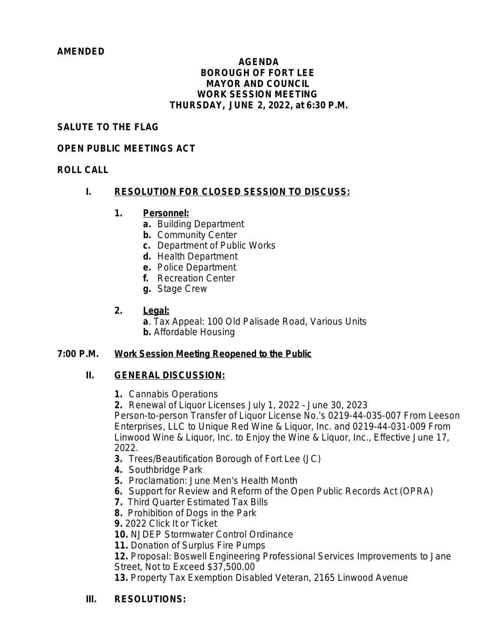#### *AMENDED*

#### **AGENDA BOROUGH OF FORT LEE MAYOR AND COUNCIL WORK SESSION MEETING THURSDAY, JUNE 2, 2022, at 6:30 P.M.**

## **SALUTE TO THE FLAG**

## **OPEN PUBLIC MEETINGS ACT**

## **ROLL CALL**

## **I. RESOLUTION FOR CLOSED SESSION TO DISCUSS:**

## **1. Personnel:**

- **a.** Building Department
- **b.** Community Center
- **c.** Department of Public Works
- **d.** Health Department
- **e.** Police Department
- **f.** Recreation Center
- **g.** Stage Crew

# **2. Legal:**

- **a**. Tax Appeal: 100 Old Palisade Road, Various Units
- **b.** Affordable Housing

## **7:00 P.M. Work Session Meeting Reopened to the Public**

## **II. GENERAL DISCUSSION:**

- **1.** Cannabis Operations
- **2.** Renewal of Liquor Licenses July 1, 2022 June 30, 2023

Person-to-person Transfer of Liquor License No.'s 0219-44-035-007 From Leeson Enterprises, LLC to Unique Red Wine & Liquor, Inc. and 0219-44-031-009 From Linwood Wine & Liquor, Inc. to Enjoy the Wine & Liquor, Inc., Effective June 17, 2022.

- **3.** Trees/Beautification Borough of Fort Lee (JC)
- **4.** Southbridge Park
- **5.** Proclamation: June Men's Health Month
- **6.** Support for Review and Reform of the Open Public Records Act (OPRA)
- **7.** Third Quarter Estimated Tax Bills
- **8.** Prohibition of Dogs in the Park
- **9.** 2022 Click It or Ticket

**10.** NJDEP Stormwater Control Ordinance

**11.** Donation of Surplus Fire Pumps

**12.** Proposal: Boswell Engineering Professional Services Improvements to Jane Street, Not to Exceed \$37,500.00

**13.** Property Tax Exemption Disabled Veteran, 2165 Linwood Avenue

# **III. RESOLUTIONS:**